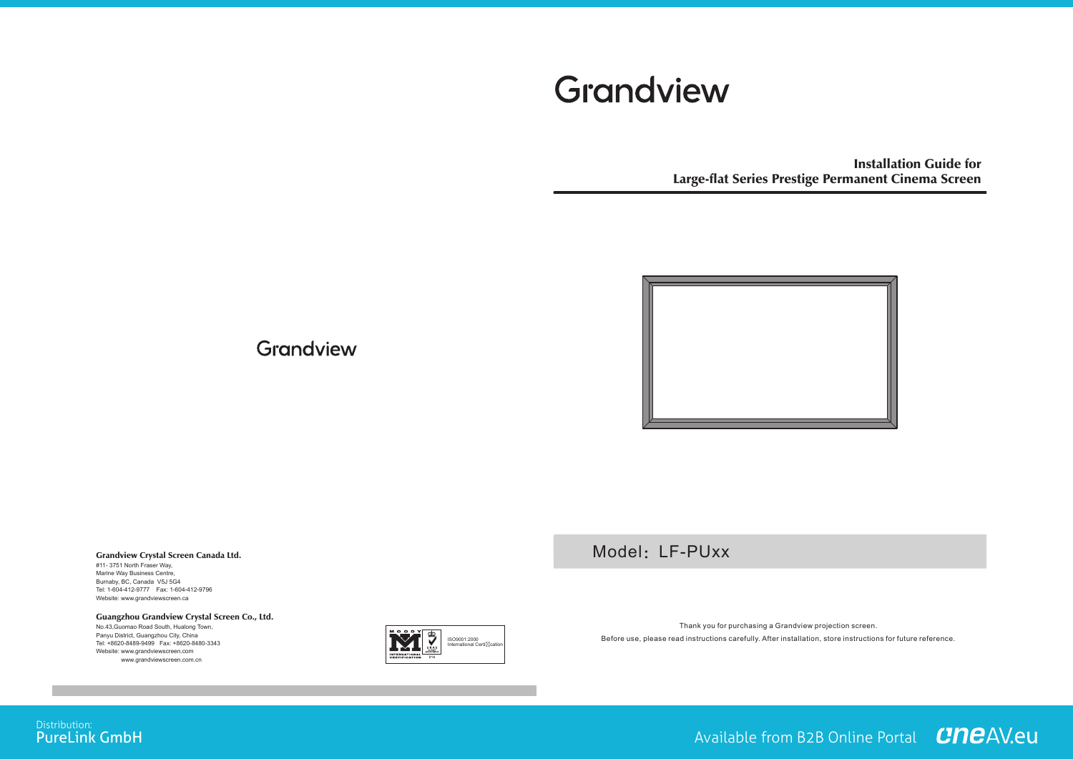# Grandview

Installation Guide for Large-flat Series Prestige Permanent Cinema Screen



Grandview

#### Grandview Crystal Screen Canada Ltd. #11- 3751 North Fraser Way, Marine Way Business Centre,

Burnaby, BC, Canada V5J 5G4 Tel: 1-604-412-9777 Fax: 1-604-412-9796 Website: www.grandviewscreen.ca

#### Guangzhou Grandview Crystal Screen Co., Ltd.

No.43,Guomao Road South, Hualong Town, Panyu District, Guangzhou City, China Tel: +8620-8489-9499 Fax: +8620-8480-3343 Website: www.grandviewscreen.com www.grandviewscreen.com.cn



Model: LF-PUxx

Thank you for purchasing a Grandview projection screen. Before use, please read instructions carefully. After installation, store instructions for future reference.

## Distribution:<br>**PureLink GmbH**

Available from B2B Online Portal **CNCAV.eu**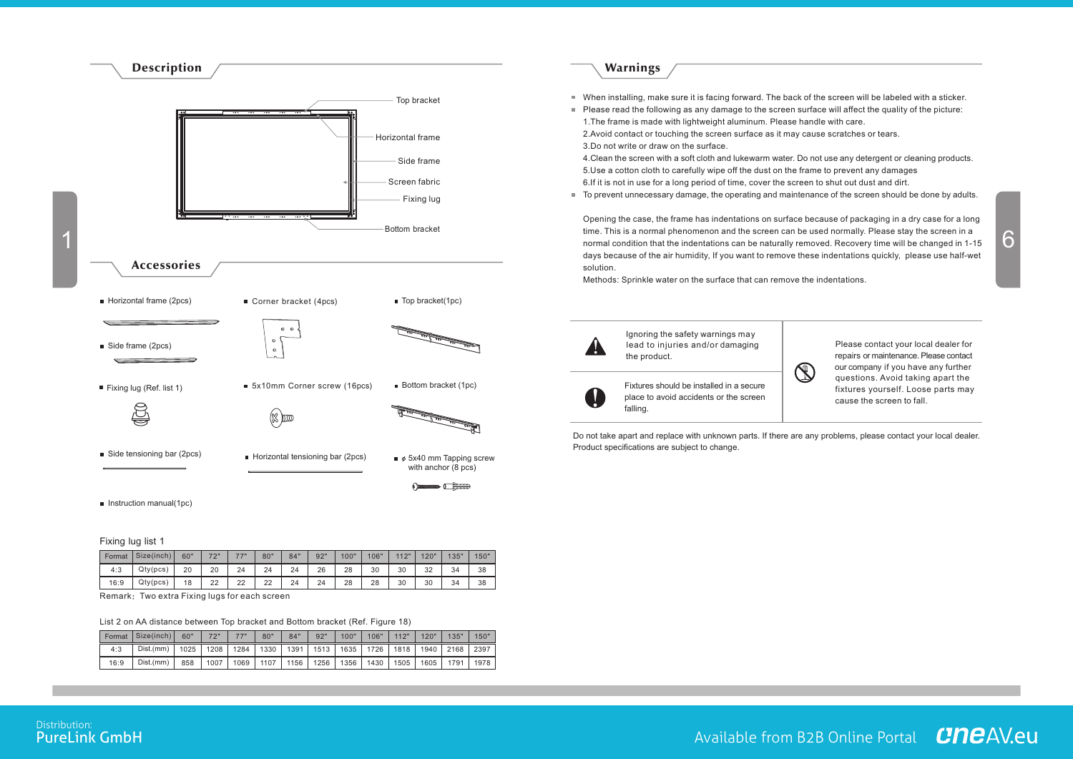

#### Fixing lug list 1

| Format | Size(inch) | 60" | フウリ | フフリ | 80" | 84" | 92" | 100" | 106" | 112" | 120" | 135" | 150" |
|--------|------------|-----|-----|-----|-----|-----|-----|------|------|------|------|------|------|
| 4:3    | Qty(pcs)   | 20  | 20  | 24  | 24  | 24  | 26  | 28   | 30   | 30   | 32   | 34   | 38   |
| 16:9   | Qty(pcs)   | 18  | 22  | 22  | 22  | 24  | 24  | 28   | 28   | 30   | 30   | 34   | 38   |

Remark:Two extra Fixing lugs for each screen

#### List 2 on AA distance between Top bracket and Bottom bracket (Ref. Figure 18)

| Format | Size(inch) | 60"               | 72"  | フフリ  | 80"    | 84"  | 92"  | 100" | 106" | 112"                                    | 120" | 135"      | 150" |
|--------|------------|-------------------|------|------|--------|------|------|------|------|-----------------------------------------|------|-----------|------|
| 4:3    | Dist.(mm)  | 1025 <sub>1</sub> | 1208 | 1284 | 1330 l | 1391 |      |      |      | 1513   1635   1726   1818   1940   2168 |      |           | 2397 |
| 16:9   | Dist.(mm)  | 858               | 1007 | 1069 | 1107   | 1156 | 1256 | 1356 | 1430 | '1505                                   |      | 1605 1791 | 1978 |

### Warnings

- When installing, make sure it is facing forward. The back of the screen will be labeled with a sticker.
- Please read the following as any damage to the screen surface will affect the quality of the picture: 1.The frame is made with lightweight aluminum. Please handle with care. 2.Avoid contact or touching the screen surface as it may cause scratches or tears.

3.Do not write or draw on the surface.

4.Clean the screen with a soft cloth and lukewarm water. Do not use any detergent or cleaning products. 5.Use a cotton cloth to carefully wipe off the dust on the frame to prevent any damages 6.If it is not in use for a long period of time, cover the screen to shut out dust and dirt.

■ To prevent unnecessary damage, the operating and maintenance of the screen should be done by adults.

Opening the case, the frame has indentations on surface because of packaging in a dry case for a long time. This is a normal phenomenon and the screen can be used normally. Please stay the screen in a days because of the air humidity, If you want to remove these indentations quickly, please use half-wet solution.

Methods: Sprinkle water on the surface that can remove the indentations.



Do not take apart and replace with unknown parts. If there are any problems, please contact your local dealer. Product specifications are subject to change.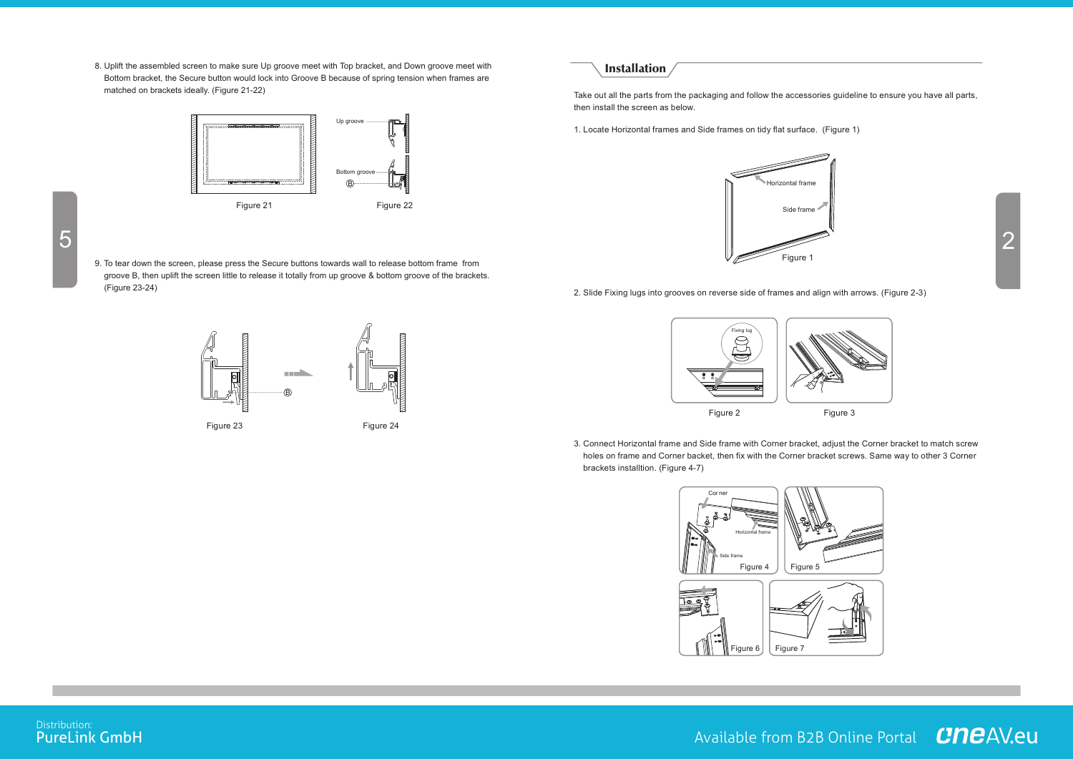8. Uplift the assembled screen to make sure Up groove meet with Top bracket, and Down groove meet with Bottom bracket, the Secure button would lock into Groove B because of spring tension when frames are matched on brackets ideally. (Figure 21-22)



9. To tear down the screen, please press the Secure buttons towards wall to release bottom frame from groove B, then uplift the screen little to release it totally from up groove & bottom groove of the brackets. (Figure 23-24)



#### **Installation**

Take out all the parts from the packaging and follow the accessories guideline to ensure you have all parts, then install the screen as below.

1. Locate Horizontal frames and Side frames on tidy flat surface. (Figure 1)



2. Slide Fixing lugs into grooves on reverse side of frames and align with arrows. (Figure 2-3)



3. Connect Horizontal frame and Side frame with Corner bracket, adjust the Corner bracket to match screw holes on frame and Corner backet, then fix with the Corner bracket screws. Same way to other 3 Corner brackets installtion. (Figure 4-7)



Distribution:<br>**PureLink GmbH**